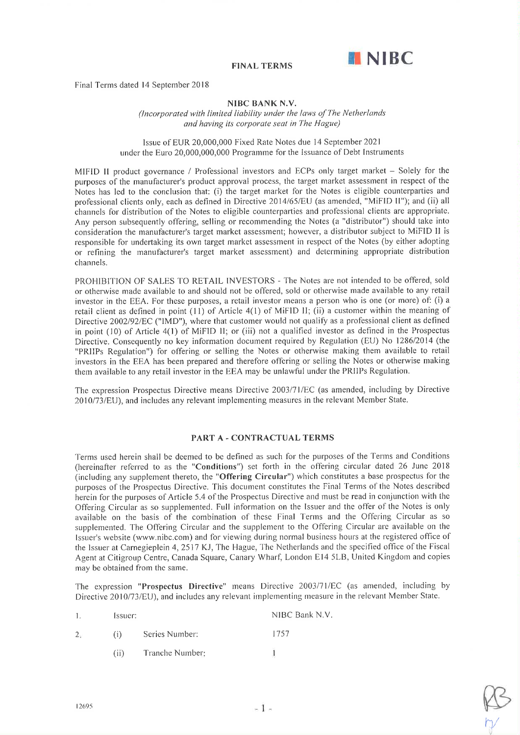

Final Terms dated 14 September 2018

### NIBC BANK N.V.

(lncorporated with limited liability under the laws of The Netherlands and having its corporate seat in The Hague)

### Issue of EUR 20,000,000 Fixed Rate Notes due 14 September 2021 under the Euro 20,000,000,000 Programme for the Issuance of Debt lnstruments

MIFID II product governance / Professional investors and ECPs only target market - Solely for the purposes of the manufacturer's product approval process, the target market assessment in respect of the Notes has led to the conclusion that: (i) the target market for the Notes is eligible counterparties and professional clients only, each as defined in Directive 2014/65/EU (as amended, "MiFID II"); and (ii) all channels for distribution of the Notes to eligible counterparties and professional clients are appropriate. Any person subsequently offering, selling or recommending the Notes (a "distributor") should take into consideration the manufacturer's target market assessrnent; however, a distributor subject to MiFID lì is responsible for undertaking its own target market assessment in respect of the Notes (by either adopting or refining the manufacturer's target market assessment) and determining appropriate distribution channels.

PROHìBITION OF SALES TO RETAIL INVESTORS - The Notes are not intended to be offered, sold or otherwise made available to and should not be offered, sold or otherwise made available to any retail investor in the EEA. For these purposes, a retail investor means a person who is one (or more) of: (i) <sup>a</sup> retail client as defined in point  $(11)$  of Article  $4(1)$  of MiFID II; (ii) a customer within the meaning of Directive 2002/92/EC ("IMD"), where that customer would not qualify as a professional client as defined in point (10) of Article 4(1) of MiFID II; or (iii) not a qualified investor as defined in the Prospectus Directive. Consequently no key information document required by Regulation (EU) No 1286/2014 (the "PRIIPs Regulation") for offering or selling the Notes or otherwise making them available to retail investors in the EEA has been prepared and therefore offering or selling the Notes or otherwise making thern available to any retail investor in the EEA may be unlawful under the PRIIPs Regulation.

The expression Prospectus Directive means Directive 2003/71/EC (as amended, including by Directive 2010/73/EU), and includes any relevant implementing measures in the relevant Member State.

### PART A - CONTRACTUAL TERMS

Terms used herein shall be deemed to be defined as such for the purposes of the Terms and Conditions (hereinafter referred to as the "Conditions") set forth in the offering circular dated 26 June 2018 (including any supplement thereto, the "Offering Circular") which constitutes a base prospectus for the purposes of the Prospectus Directive. This document constitutes the Final Terms of the Notes described herein for the purposes of Article 5.4 of the Prospectus Directive and must be read in conjunction with the Offering Circular as so supplernented. Full infonnation on the Issuer and the offer of the Notes is only available on the basis of the combination of these Final Terrns and the Offering Circular as so supplemented. The Offering Circular and the supplement to the Offering Circular are available on the Issuer's website (www.nibc.com) and for viewing during normal business hours at the registered office of the Issuer at Carnegieplein 4, 2517 KJ, The Hague, The Netherlands and the specified office of the Fiscal Agent at Citigroup Centre, Canada Square, Canary Wharf, London El4 5LB, United Kingdom and copies may be obtained from the same.

The expression "Prospectus Directive" means Directive 2003/71/EC (as amended, including by Directive 2010/73/EU), and includes any relevant implementing measure in the relevant Member State.

| $\mathbf{1}$ | Issuer: |                | NIBC Bank N.V. |
|--------------|---------|----------------|----------------|
| 2.           | (i)     | Series Number: | 1757           |

Tranche Number ( ii)

1

V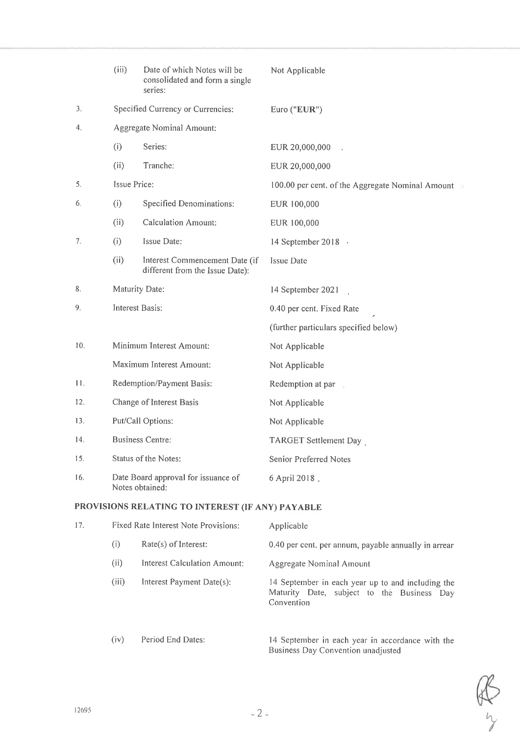|                                                  | (iii)                                                  | Date of which Notes will be<br>consolidated and form a single<br>series: | Not Applicable                                   |
|--------------------------------------------------|--------------------------------------------------------|--------------------------------------------------------------------------|--------------------------------------------------|
| 3.                                               | Specified Currency or Currencies:                      |                                                                          | Euro ("EUR")                                     |
| 4.                                               | Aggregate Nominal Amount:                              |                                                                          |                                                  |
|                                                  | (i)                                                    | Series:                                                                  | EUR 20,000,000                                   |
|                                                  | (ii)                                                   | Tranche:                                                                 | EUR 20,000,000                                   |
| 5.                                               | Issue Price:                                           |                                                                          | 100.00 per cent. of the Aggregate Nominal Amount |
| 6.                                               | (i)                                                    | Specified Denominations:                                                 | EUR 100,000                                      |
|                                                  | (ii)                                                   | <b>Calculation Amount:</b>                                               | EUR 100,000                                      |
| 7.                                               | (i)                                                    | Issue Date:                                                              | 14 September 2018 ·                              |
|                                                  | (ii)                                                   | Interest Commencement Date (if<br>different from the Issue Date):        | Issue Date                                       |
| 8.                                               | Maturity Date:                                         |                                                                          | 14 September 2021                                |
| 9.                                               | Interest Basis:                                        |                                                                          | 0.40 per cent. Fixed Rate                        |
|                                                  |                                                        |                                                                          | (further particulars specified below)            |
| 10.                                              | Minimum Interest Amount:                               |                                                                          | Not Applicable                                   |
|                                                  | Maximum Interest Amount:                               |                                                                          | Not Applicable                                   |
| 11.                                              | Redemption/Payment Basis:                              |                                                                          | Redemption at par                                |
| 12.                                              | Change of Interest Basis                               |                                                                          | Not Applicable                                   |
| 13.                                              | Put/Call Options:                                      |                                                                          | Not Applicable                                   |
| 14.                                              | <b>Business Centre:</b>                                |                                                                          | TARGET Settlement Day                            |
| 15.                                              | Status of the Notes:                                   |                                                                          | Senior Preferred Notes                           |
| 16.                                              | Date Board approval for issuance of<br>Notes obtained: |                                                                          | 6 April 2018.                                    |
| PROVISIONS RELATING TO INTEREST (IF ANY) PAYABLE |                                                        |                                                                          |                                                  |
| 17.                                              | Fixed Rate Interest Note Provisions:                   |                                                                          | Applicable                                       |

| (1)   | $Rate(s)$ of Interest:       | 0.40 per cent. per annum, payable annually in arrear                                                          |
|-------|------------------------------|---------------------------------------------------------------------------------------------------------------|
| (i)   | Interest Calculation Amount: | Aggregate Nominal Amount                                                                                      |
| (iii) | Interest Payment Date(s):    | 14 September in each year up to and including the<br>Maturity Date, subject to the Business Day<br>Convention |

l4 September in each year in accordance with the Business Day Convention unadjusted (iv) Period End Dates: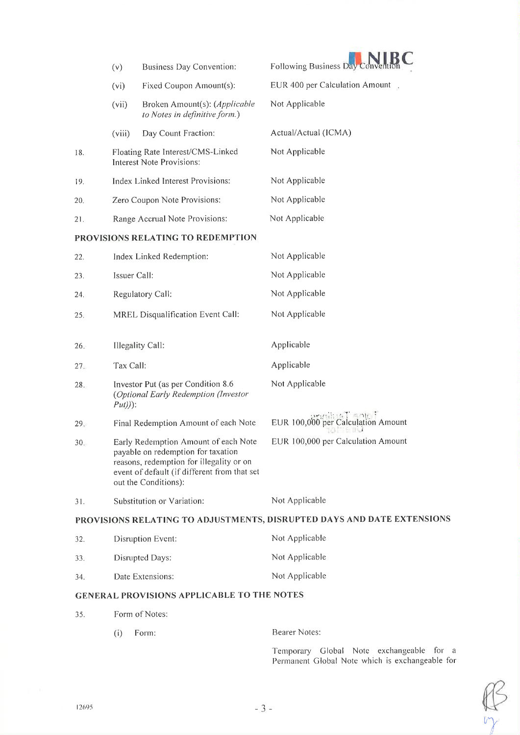|                 | (v)                               | <b>Business Day Convention:</b>                                                                                                                                                                | Following Business Day                                                 |
|-----------------|-----------------------------------|------------------------------------------------------------------------------------------------------------------------------------------------------------------------------------------------|------------------------------------------------------------------------|
|                 | (vi)                              | Fixed Coupon Amount(s):                                                                                                                                                                        | EUR 400 per Calculation Amount                                         |
|                 | (vii)                             | Broken Amount(s): (Applicable<br>to Notes in definitive form.)                                                                                                                                 | Not Applicable                                                         |
|                 | (viii)                            | Day Count Fraction:                                                                                                                                                                            | Actual/Actual (ICMA)                                                   |
| 18.             |                                   | Floating Rate Interest/CMS-Linked<br>Interest Note Provisions:                                                                                                                                 | Not Applicable                                                         |
| 19.             |                                   | Index Linked Interest Provisions:                                                                                                                                                              | Not Applicable                                                         |
| 20.             |                                   | Zero Coupon Note Provisions:                                                                                                                                                                   | Not Applicable                                                         |
| 21.             | Range Accrual Note Provisions:    |                                                                                                                                                                                                | Not Applicable                                                         |
|                 |                                   | PROVISIONS RELATING TO REDEMPTION                                                                                                                                                              |                                                                        |
| 22.             | Index Linked Redemption:          |                                                                                                                                                                                                | Not Applicable                                                         |
| 23.             | Issuer Call:                      |                                                                                                                                                                                                | Not Applicable                                                         |
| 24.             | Regulatory Call:                  |                                                                                                                                                                                                | Not Applicable                                                         |
| 25.             | MREL Disqualification Event Call: |                                                                                                                                                                                                | Not Applicable                                                         |
| 26.             | Illegality Call:                  |                                                                                                                                                                                                | Applicable                                                             |
| 27.             | Tax Call:                         |                                                                                                                                                                                                | Applicable                                                             |
| 28.             | $Put))$ :                         | Investor Put (as per Condition 8.6)<br>(Optional Early Redemption (Investor                                                                                                                    | Not Applicable                                                         |
| 29.             |                                   | Final Redemption Amount of each Note                                                                                                                                                           | EUR 100,000 per Calculation Amount                                     |
| 30 <sub>1</sub> |                                   | Early Redemption Amount of each Note<br>payable on redemption for taxation<br>reasons, redemption for illegality or on<br>event of default (if different from that set<br>out the Conditions): | EUR 100,000 per Calculation Amount                                     |
| 31.             |                                   | Substitution or Variation:                                                                                                                                                                     | Not Applicable                                                         |
|                 |                                   |                                                                                                                                                                                                | PROVISIONS RELATING TO ADJUSTMENTS, DISRUPTED DAYS AND DATE EXTENSIONS |
| 32.             |                                   | Disruption Event:                                                                                                                                                                              | Not Applicable                                                         |
| 33.             |                                   | Disrupted Days:                                                                                                                                                                                | Not Applicable                                                         |
| 34.             |                                   | Date Extensions:                                                                                                                                                                               | Not Applicable                                                         |
|                 |                                   | <b>GENERAL PROVISIONS APPLICABLE TO THE NOTES</b>                                                                                                                                              |                                                                        |
| 35.             |                                   | Form of Notes:                                                                                                                                                                                 |                                                                        |
|                 | (i)                               | Form:                                                                                                                                                                                          | Bearer Notes:                                                          |

Temporary Global Note exchangeable for a<br>Permanent Global Note which is exchangeable for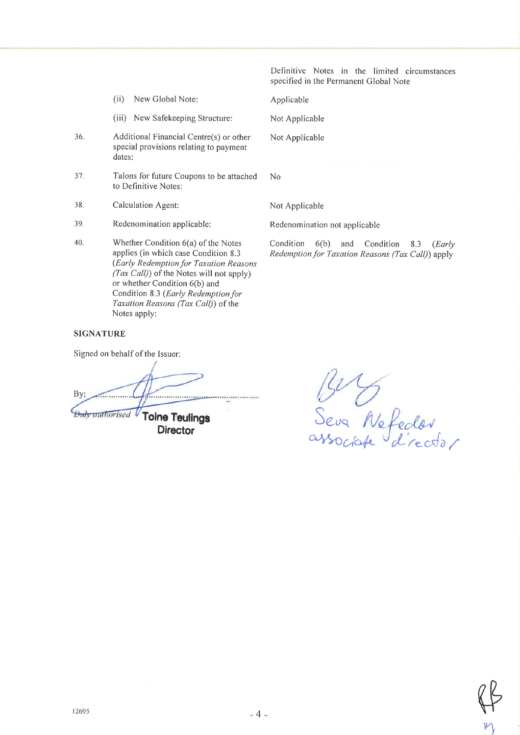Definitive Notes in the limited circumstances specified in the Permanent Global Note

- $(ii)$ New Global Note:
- (iii) New Safekeeping Structure:
- 36. Additional Financial Centre(s) or other special provisions relating to payment dates:
- 37. Talons for future Coupons to be attached to Definitive Notes:
- 38. Calculation Agent:
- 39. Redenomination applicable:
- 40. Whether Condition 6(a) of the Notes applies (in which case Condition 8.3 (Early Redemption for Taxation Reasons (Tax Call)) of the Notes will not apply) or whether Condition 6(b) and Condition 8.3 (Early Redemption for Taxation Reasons (Tax Call)) of the Notes apply:

# Not Applicable

Applicable

Not Applicable

 $No$ 

Not Applicable

Redenomination not applicable

Condition 6(b) and Condition 8.3  $(Early)$ Redemption for Taxation Reasons (Tax Call)) apply

## **SIGNATURE**

Signed on behalf of the Issuer:

 $By:$ . . . . . . . . . . . . . . . . . <u>. .</u> **Toine Teulings Duly authorised** V **Director** 

15<sup>0</sup> D<br>Seva Nefeder<br>associate d'rector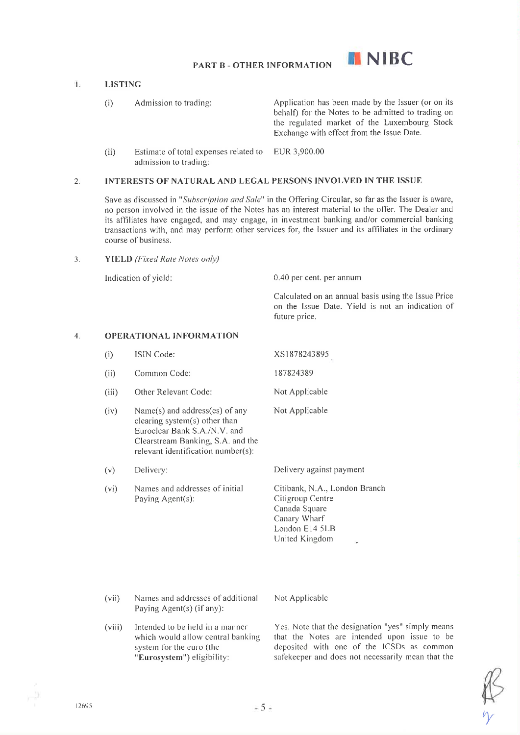

### $\mathbf{1}$ LISTING

(i) Admission to trading: Application has been made by the Issuer (or on its behalf) for the Notes to be admitted to trading on the regulated market of the Luxembourg Stock Exchange with effect from the Issue Date.

 $(i)$  Estimate of total expenses related to admission to trading: EUR 3,900.00

### 2. INTERESTS OF NATURAL AND LEGAL PERSONS INVOLVED IN THE ISSUE

Save as discussed in "Subscription and Sale" in the Offering Circular, so far as the Issuer is aware, no person involved in the issue of the Notes has an interest material to the offer. The Dealer and its affiliates have engaged, and may engage, in investment banking and/or commercial banking transactions with, and may perform other services for, the lssuer and its affiliates in the ordinary course of business.

3. YIELD (Fixed Rate Notes only)

Indication of yield: 0.40 per cent. per annum

Calculated on an annual basis using the Issue Price on the Issue Date. Yield is not an indication of future price.

#### OPERATIONAL INFORMATION 4.

- (i) ISIN Code:
- (ii) Common Code: 181824389
- (iii) Other Relevant Code:
- (iv) Narne(s) and address(es) of any clearing system(s) other than Euroclear Bank S.A./N.V. and Clearstream Banking, S.A. and the relevant identification number(s):
- (v) Delivery:
- (vi) Narnes and addresses of initial Paying Agent(s):

xs I 878243 895

- Not Applicable
- Not Applicable

Delivery against payment

Citibank, N.A., London Branch Citigroup Centre Canada Square Canary Wharf London El4 5LB United Kingdorn

- (vii) Nanres and addresses of additional Not Applicable Paying Agent(s) (if any):
- Intended to be held in a manner which would allow central banking system for the euro (the "Eurosystem") eligibility: (viii)

Yes. Note that the designation "yes" simply means that the Notes are intended upon issue to be deposited with one of the ICSDs as common safekeeper and does not necessarily mean that the

r<br>Y